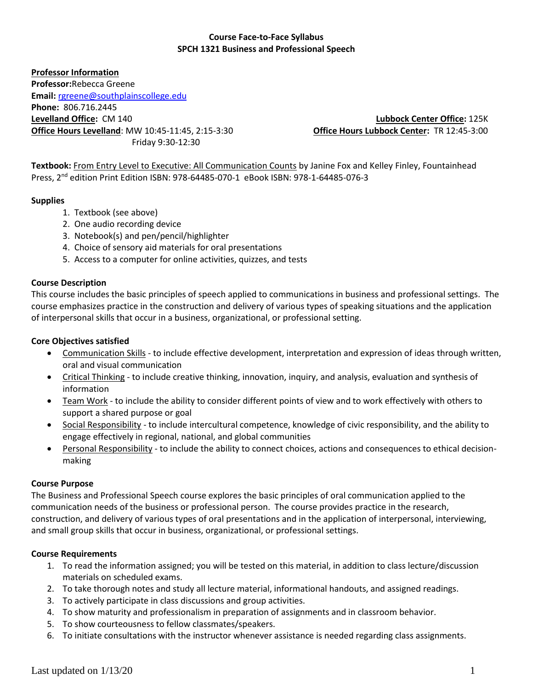### **Course Face-to-Face Syllabus SPCH 1321 Business and Professional Speech**

**Professor Information Professor:**Rebecca Greene **Email:** <rgreene@southplainscollege.edu> **Phone:** 806.716.2445 **Levelland Office:** CM 140 **Lubbock Center Office:** 125K **Office Hours Levelland**: MW 10:45-11:45, 2:15-3:30 **Office Hours Lubbock Center:** TR 12:45-3:00 Friday 9:30-12:30

**Textbook:** From Entry Level to Executive: All Communication Counts by Janine Fox and Kelley Finley, Fountainhead Press, 2<sup>nd</sup> edition Print Edition ISBN: 978-64485-070-1 eBook ISBN: 978-1-64485-076-3

### **Supplies**

- 1. Textbook (see above)
- 2. One audio recording device
- 3. Notebook(s) and pen/pencil/highlighter
- 4. Choice of sensory aid materials for oral presentations
- 5. Access to a computer for online activities, quizzes, and tests

#### **Course Description**

This course includes the basic principles of speech applied to communications in business and professional settings. The course emphasizes practice in the construction and delivery of various types of speaking situations and the application of interpersonal skills that occur in a business, organizational, or professional setting.

#### **Core Objectives satisfied**

- Communication Skills to include effective development, interpretation and expression of ideas through written, oral and visual communication
- Critical Thinking to include creative thinking, innovation, inquiry, and analysis, evaluation and synthesis of information
- Team Work to include the ability to consider different points of view and to work effectively with others to support a shared purpose or goal
- Social Responsibility to include intercultural competence, knowledge of civic responsibility, and the ability to engage effectively in regional, national, and global communities
- **Personal Responsibility** to include the ability to connect choices, actions and consequences to ethical decisionmaking

#### **Course Purpose**

The Business and Professional Speech course explores the basic principles of oral communication applied to the communication needs of the business or professional person. The course provides practice in the research, construction, and delivery of various types of oral presentations and in the application of interpersonal, interviewing, and small group skills that occur in business, organizational, or professional settings.

#### **Course Requirements**

- 1. To read the information assigned; you will be tested on this material, in addition to class lecture/discussion materials on scheduled exams.
- 2. To take thorough notes and study all lecture material, informational handouts, and assigned readings.
- 3. To actively participate in class discussions and group activities.
- 4. To show maturity and professionalism in preparation of assignments and in classroom behavior.
- 5. To show courteousness to fellow classmates/speakers.
- 6. To initiate consultations with the instructor whenever assistance is needed regarding class assignments.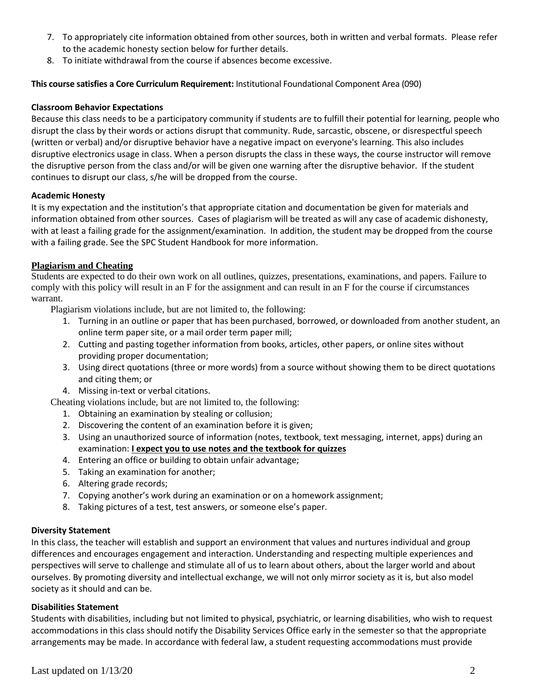- 7. To appropriately cite information obtained from other sources, both in written and verbal formats. Please refer to the academic honesty section below for further details.
- 8. To initiate withdrawal from the course if absences become excessive.

#### **This course satisfies a Core Curriculum Requirement:** Institutional Foundational Component Area (090)

#### **Classroom Behavior Expectations**

Because this class needs to be a participatory community if students are to fulfill their potential for learning, people who disrupt the class by their words or actions disrupt that community. Rude, sarcastic, obscene, or disrespectful speech (written or verbal) and/or disruptive behavior have a negative impact on everyone's learning. This also includes disruptive electronics usage in class. When a person disrupts the class in these ways, the course instructor will remove the disruptive person from the class and/or will be given one warning after the disruptive behavior. If the student continues to disrupt our class, s/he will be dropped from the course.

#### **Academic Honesty**

It is my expectation and the institution's that appropriate citation and documentation be given for materials and information obtained from other sources. Cases of plagiarism will be treated as will any case of academic dishonesty, with at least a failing grade for the assignment/examination. In addition, the student may be dropped from the course with a failing grade. See the SPC Student Handbook for more information.

#### **Plagiarism and Cheating**

Students are expected to do their own work on all outlines, quizzes, presentations, examinations, and papers. Failure to comply with this policy will result in an F for the assignment and can result in an F for the course if circumstances warrant.

Plagiarism violations include, but are not limited to, the following:

- 1. Turning in an outline or paper that has been purchased, borrowed, or downloaded from another student, an online term paper site, or a mail order term paper mill;
- 2. Cutting and pasting together information from books, articles, other papers, or online sites without providing proper documentation;
- 3. Using direct quotations (three or more words) from a source without showing them to be direct quotations and citing them; or
- 4. Missing in-text or verbal citations.

Cheating violations include, but are not limited to, the following:

- 1. Obtaining an examination by stealing or collusion;
- 2. Discovering the content of an examination before it is given;
- 3. Using an unauthorized source of information (notes, textbook, text messaging, internet, apps) during an examination: **I expect you to use notes and the textbook for quizzes**
- 4. Entering an office or building to obtain unfair advantage;
- 5. Taking an examination for another;
- 6. Altering grade records;
- 7. Copying another's work during an examination or on a homework assignment;
- 8. Taking pictures of a test, test answers, or someone else's paper.

#### **Diversity Statement**

In this class, the teacher will establish and support an environment that values and nurtures individual and group differences and encourages engagement and interaction. Understanding and respecting multiple experiences and perspectives will serve to challenge and stimulate all of us to learn about others, about the larger world and about ourselves. By promoting diversity and intellectual exchange, we will not only mirror society as it is, but also model society as it should and can be.

#### **Disabilities Statement**

Students with disabilities, including but not limited to physical, psychiatric, or learning disabilities, who wish to request accommodations in this class should notify the Disability Services Office early in the semester so that the appropriate arrangements may be made. In accordance with federal law, a student requesting accommodations must provide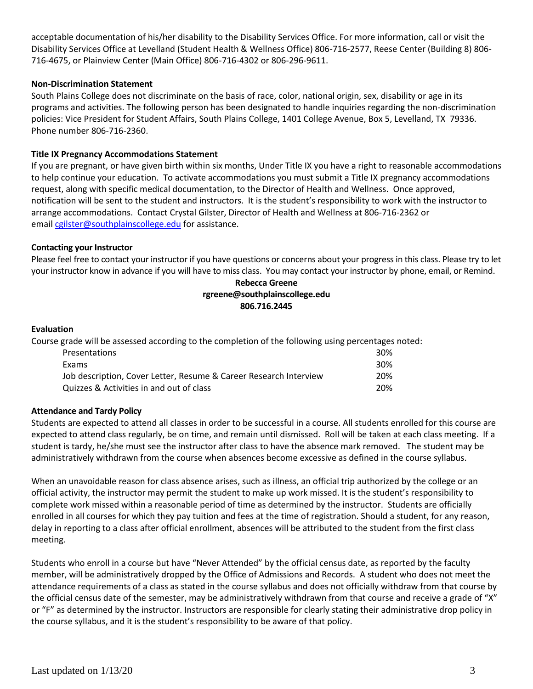acceptable documentation of his/her disability to the Disability Services Office. For more information, call or visit the Disability Services Office at Levelland (Student Health & Wellness Office) 806-716-2577, Reese Center (Building 8) 806- 716-4675, or Plainview Center (Main Office) 806-716-4302 or 806-296-9611.

#### **Non-Discrimination Statement**

South Plains College does not discriminate on the basis of race, color, national origin, sex, disability or age in its programs and activities. The following person has been designated to handle inquiries regarding the non-discrimination policies: Vice President for Student Affairs, South Plains College, 1401 College Avenue, Box 5, Levelland, TX 79336. Phone number 806-716-2360.

#### **Title IX Pregnancy Accommodations Statement**

If you are pregnant, or have given birth within six months, Under Title IX you have a right to reasonable accommodations to help continue your education. To activate accommodations you must submit a Title IX pregnancy accommodations request, along with specific medical documentation, to the Director of Health and Wellness. Once approved, notification will be sent to the student and instructors. It is the student's responsibility to work with the instructor to arrange accommodations. Contact Crystal Gilster, Director of Health and Wellness at 806-716-2362 or email [cgilster@southplainscollege.edu](mailto:cgilster@southplainscollege.edu) for assistance.

#### **Contacting your Instructor**

Please feel free to contact your instructor if you have questions or concerns about your progress in this class. Please try to let your instructor know in advance if you will have to miss class. You may contact your instructor by phone, email, or Remind.

#### **Rebecca Greene rgreene@southplainscollege.edu 806.716.2445**

#### **Evaluation**

Course grade will be assessed according to the completion of the following using percentages noted: Presentations 30% Exams 30% Job description, Cover Letter, Resume & Career Research Interview 20% Quizzes & Activities in and out of class 20%

#### **Attendance and Tardy Policy**

Students are expected to attend all classes in order to be successful in a course. All students enrolled for this course are expected to attend class regularly, be on time, and remain until dismissed. Roll will be taken at each class meeting. If a student is tardy, he/she must see the instructor after class to have the absence mark removed. The student may be administratively withdrawn from the course when absences become excessive as defined in the course syllabus.

When an unavoidable reason for class absence arises, such as illness, an official trip authorized by the college or an official activity, the instructor may permit the student to make up work missed. It is the student's responsibility to complete work missed within a reasonable period of time as determined by the instructor. Students are officially enrolled in all courses for which they pay tuition and fees at the time of registration. Should a student, for any reason, delay in reporting to a class after official enrollment, absences will be attributed to the student from the first class meeting.

Students who enroll in a course but have "Never Attended" by the official census date, as reported by the faculty member, will be administratively dropped by the Office of Admissions and Records. A student who does not meet the attendance requirements of a class as stated in the course syllabus and does not officially withdraw from that course by the official census date of the semester, may be administratively withdrawn from that course and receive a grade of "X" or "F" as determined by the instructor. Instructors are responsible for clearly stating their administrative drop policy in the course syllabus, and it is the student's responsibility to be aware of that policy.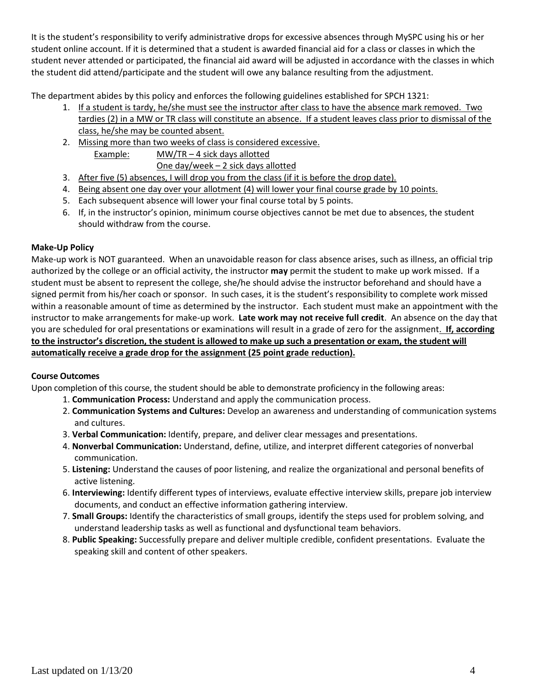It is the student's responsibility to verify administrative drops for excessive absences through MySPC using his or her student online account. If it is determined that a student is awarded financial aid for a class or classes in which the student never attended or participated, the financial aid award will be adjusted in accordance with the classes in which the student did attend/participate and the student will owe any balance resulting from the adjustment.

The department abides by this policy and enforces the following guidelines established for SPCH 1321:

- 1. If a student is tardy, he/she must see the instructor after class to have the absence mark removed. Two tardies (2) in a MW or TR class will constitute an absence. If a student leaves class prior to dismissal of the class, he/she may be counted absent.
- 2. Missing more than two weeks of class is considered excessive. Example: MW/TR-4 sick days allotted One day/week – 2 sick days allotted
- 3. After five (5) absences, I will drop you from the class (if it is before the drop date).
- 4. Being absent one day over your allotment (4) will lower your final course grade by 10 points.
- 5. Each subsequent absence will lower your final course total by 5 points.
- 6. If, in the instructor's opinion, minimum course objectives cannot be met due to absences, the student should withdraw from the course.

#### **Make-Up Policy**

Make-up work is NOT guaranteed. When an unavoidable reason for class absence arises, such as illness, an official trip authorized by the college or an official activity, the instructor **may** permit the student to make up work missed. If a student must be absent to represent the college, she/he should advise the instructor beforehand and should have a signed permit from his/her coach or sponsor. In such cases, it is the student's responsibility to complete work missed within a reasonable amount of time as determined by the instructor. Each student must make an appointment with the instructor to make arrangements for make-up work. **Late work may not receive full credit**. An absence on the day that you are scheduled for oral presentations or examinations will result in a grade of zero for the assignment. **If, according to the instructor's discretion, the student is allowed to make up such a presentation or exam, the student will automatically receive a grade drop for the assignment (25 point grade reduction).**

#### **Course Outcomes**

Upon completion of this course, the student should be able to demonstrate proficiency in the following areas:

- 1. **Communication Process:** Understand and apply the communication process.
- 2. **Communication Systems and Cultures:** Develop an awareness and understanding of communication systems and cultures.
- 3. **Verbal Communication:** Identify, prepare, and deliver clear messages and presentations.
- 4. **Nonverbal Communication:** Understand, define, utilize, and interpret different categories of nonverbal communication.
- 5. **Listening:** Understand the causes of poor listening, and realize the organizational and personal benefits of active listening.
- 6. **Interviewing:** Identify different types of interviews, evaluate effective interview skills, prepare job interview documents, and conduct an effective information gathering interview.
- 7. **Small Groups:** Identify the characteristics of small groups, identify the steps used for problem solving, and understand leadership tasks as well as functional and dysfunctional team behaviors.
- 8. **Public Speaking:** Successfully prepare and deliver multiple credible, confident presentations. Evaluate the speaking skill and content of other speakers.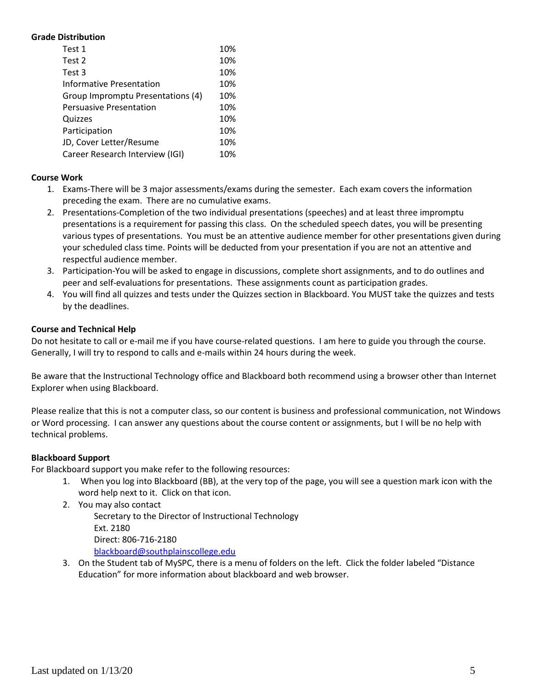#### **Grade Distribution**

| Test 1                            | 10% |
|-----------------------------------|-----|
| Test 2                            | 10% |
| Test 3                            | 10% |
| Informative Presentation          | 10% |
| Group Impromptu Presentations (4) | 10% |
| <b>Persuasive Presentation</b>    | 10% |
| Quizzes                           | 10% |
| Participation                     | 10% |
| JD, Cover Letter/Resume           | 10% |
| Career Research Interview (IGI)   | 10% |

#### **Course Work**

- 1. Exams-There will be 3 major assessments/exams during the semester. Each exam covers the information preceding the exam. There are no cumulative exams.
- 2. Presentations-Completion of the two individual presentations (speeches) and at least three impromptu presentations is a requirement for passing this class. On the scheduled speech dates, you will be presenting various types of presentations. You must be an attentive audience member for other presentations given during your scheduled class time. Points will be deducted from your presentation if you are not an attentive and respectful audience member.
- 3. Participation-You will be asked to engage in discussions, complete short assignments, and to do outlines and peer and self-evaluations for presentations. These assignments count as participation grades.
- 4. You will find all quizzes and tests under the Quizzes section in Blackboard. You MUST take the quizzes and tests by the deadlines.

#### **Course and Technical Help**

Do not hesitate to call or e-mail me if you have course-related questions. I am here to guide you through the course. Generally, I will try to respond to calls and e-mails within 24 hours during the week.

Be aware that the Instructional Technology office and Blackboard both recommend using a browser other than Internet Explorer when using Blackboard.

Please realize that this is not a computer class, so our content is business and professional communication, not Windows or Word processing. I can answer any questions about the course content or assignments, but I will be no help with technical problems.

### **Blackboard Support**

For Blackboard support you make refer to the following resources:

- 1. When you log into Blackboard (BB), at the very top of the page, you will see a question mark icon with the word help next to it. Click on that icon.
- 2. You may also contact

Secretary to the Director of Instructional Technology Ext. 2180 Direct: 806-716-2180 [blackboard@southplainscollege.edu](mailto:jetucker@southplainscollege.edu)

3. On the Student tab of MySPC, there is a menu of folders on the left. Click the folder labeled "Distance Education" for more information about blackboard and web browser.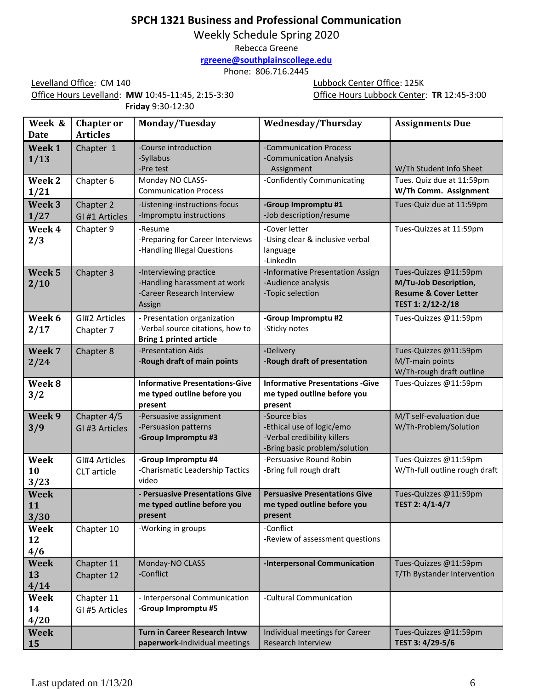# **SPCH 1321 Business and Professional Communication**

Weekly Schedule Spring 2020

Rebecca Greene

**[rgreene@southplainscollege.edu](mailto:rgreene@southplainscollege.edu)**

Phone: 806.716.2445

Levelland Office: CM 140 Lubbock Center Office: 125K Office Hours Levelland: **MW** 10:45-11:45, 2:15-3:30 Office Hours Lubbock Center: **TR** 12:45-3:00 **Friday** 9:30-12:30

| Week &<br><b>Date</b>            | <b>Chapter or</b><br><b>Articles</b> | Monday/Tuesday                                                                                    | <b>Wednesday/Thursday</b>                                                                                 | <b>Assignments Due</b>                                                                                  |
|----------------------------------|--------------------------------------|---------------------------------------------------------------------------------------------------|-----------------------------------------------------------------------------------------------------------|---------------------------------------------------------------------------------------------------------|
| Week 1<br>1/13                   | Chapter 1                            | -Course introduction<br>-Syllabus<br>-Pre test                                                    | -Communication Process<br>-Communication Analysis<br>Assignment                                           | W/Th Student Info Sheet                                                                                 |
| Week 2<br>1/21                   | Chapter 6                            | Monday NO CLASS-<br><b>Communication Process</b>                                                  | -Confidently Communicating                                                                                | Tues. Quiz due at 11:59pm<br>W/Th Comm. Assignment                                                      |
| Week <sub>3</sub><br>1/27        | Chapter 2<br>GI #1 Articles          | -Listening-instructions-focus<br>-Impromptu instructions                                          | -Group Impromptu #1<br>-Job description/resume                                                            | Tues-Quiz due at 11:59pm                                                                                |
| Week 4<br>2/3                    | Chapter 9                            | -Resume<br>-Preparing for Career Interviews<br>-Handling Illegal Questions                        | -Cover letter<br>-Using clear & inclusive verbal<br>language<br>-LinkedIn                                 | Tues-Quizzes at 11:59pm                                                                                 |
| Week <sub>5</sub><br>2/10        | Chapter 3                            | -Interviewing practice<br>-Handling harassment at work<br>-Career Research Interview<br>Assign    | -Informative Presentation Assign<br>-Audience analysis<br>-Topic selection                                | Tues-Quizzes @11:59pm<br>M/Tu-Job Description,<br><b>Resume &amp; Cover Letter</b><br>TEST 1: 2/12-2/18 |
| Week 6<br>2/17                   | GI#2 Articles<br>Chapter 7           | - Presentation organization<br>-Verbal source citations, how to<br><b>Bring 1 printed article</b> | -Group Impromptu #2<br>-Sticky notes                                                                      | Tues-Quizzes @11:59pm                                                                                   |
| Week 7<br>2/24                   | Chapter 8                            | -Presentation Aids<br>-Rough draft of main points                                                 | -Delivery<br>-Rough draft of presentation                                                                 | Tues-Quizzes @11:59pm<br>M/T-main points<br>W/Th-rough draft outline                                    |
| Week 8<br>3/2                    |                                      | <b>Informative Presentations-Give</b><br>me typed outline before you<br>present                   | <b>Informative Presentations - Give</b><br>me typed outline before you<br>present                         | Tues-Quizzes @11:59pm                                                                                   |
| Week 9<br>3/9                    | Chapter 4/5<br>GI #3 Articles        | -Persuasive assignment<br>-Persuasion patterns<br>-Group Impromptu #3                             | -Source bias<br>-Ethical use of logic/emo<br>-Verbal credibility killers<br>-Bring basic problem/solution | M/T self-evaluation due<br>W/Th-Problem/Solution                                                        |
| Week<br>10<br>3/23               | GI#4 Articles<br>CLT article         | -Group Impromptu #4<br>-Charismatic Leadership Tactics<br>video                                   | -Persuasive Round Robin<br>-Bring full rough draft                                                        | Tues-Quizzes @11:59pm<br>W/Th-full outline rough draft                                                  |
| <b>Week</b><br><b>11</b><br>3/30 |                                      | - Persuasive Presentations Give<br>me typed outline before you<br>present                         | <b>Persuasive Presentations Give</b><br>me typed outline before you<br>present                            | Tues-Quizzes @11:59pm<br>TEST 2: 4/1-4/7                                                                |
| Week<br>12<br>4/6                | Chapter 10                           | -Working in groups                                                                                | -Conflict<br>-Review of assessment questions                                                              |                                                                                                         |
| <b>Week</b><br>13<br>4/14        | Chapter 11<br>Chapter 12             | Monday-NO CLASS<br>-Conflict                                                                      | -Interpersonal Communication                                                                              | Tues-Quizzes @11:59pm<br>T/Th Bystander Intervention                                                    |
| Week<br>14<br>4/20               | Chapter 11<br>GI #5 Articles         | - Interpersonal Communication<br>-Group Impromptu #5                                              | -Cultural Communication                                                                                   |                                                                                                         |
| <b>Week</b><br>15                |                                      | <b>Turn in Career Research Intvw</b><br>paperwork-Individual meetings                             | Individual meetings for Career<br>Research Interview                                                      | Tues-Quizzes @11:59pm<br>TEST 3: 4/29-5/6                                                               |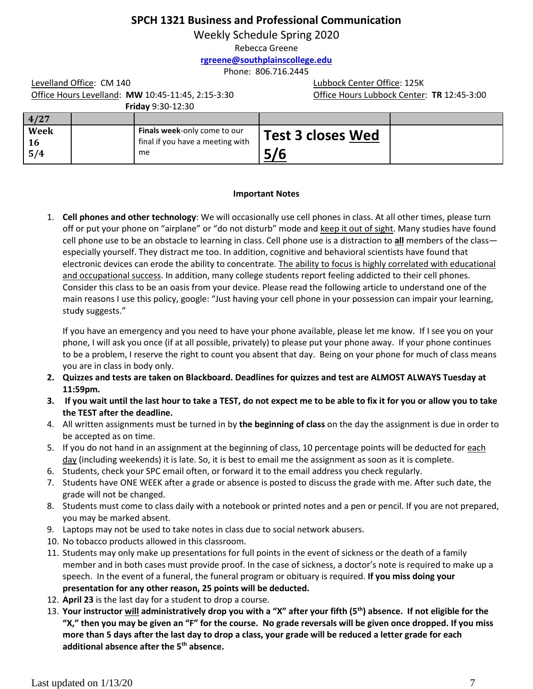## **SPCH 1321 Business and Professional Communication**

Weekly Schedule Spring 2020

Rebecca Greene

**[rgreene@southplainscollege.edu](mailto:rgreene@southplainscollege.edu)**

Phone: 806.716.2445

Office Hours Levelland: **MW** 10:45-11:45, 2:15-3:30 Office Hours Lubbock Center: **TR** 12:45-3:00

**Friday** 9:30-12:30

Levelland Office: CM 140 Lubbock Center Office: 125K

| 4/27               |                                                                               |                          |  |
|--------------------|-------------------------------------------------------------------------------|--------------------------|--|
| <b>Week</b><br>5/4 | <b>Finals week-only come to our</b><br>final if you have a meeting with<br>me | Test 3 closes Wed<br>L/C |  |

#### **Important Notes**

1. **Cell phones and other technology**: We will occasionally use cell phones in class. At all other times, please turn off or put your phone on "airplane" or "do not disturb" mode and keep it out of sight. Many studies have found cell phone use to be an obstacle to learning in class. Cell phone use is a distraction to **all** members of the class especially yourself. They distract me too. In addition, cognitive and behavioral scientists have found that electronic devices can erode the ability to concentrate. The ability to focus is highly correlated with educational and occupational success. In addition, many college students report feeling addicted to their cell phones. Consider this class to be an oasis from your device. Please read the following article to understand one of the main reasons I use this policy, google: "Just having your cell phone in your possession can impair your learning, study suggests."

If you have an emergency and you need to have your phone available, please let me know. If I see you on your phone, I will ask you once (if at all possible, privately) to please put your phone away. If your phone continues to be a problem, I reserve the right to count you absent that day. Being on your phone for much of class means you are in class in body only.

- **2. Quizzes and tests are taken on Blackboard. Deadlines for quizzes and test are ALMOST ALWAYS Tuesday at 11:59pm.**
- **3. If you wait until the last hour to take a TEST, do not expect me to be able to fix it for you or allow you to take the TEST after the deadline.**
- 4. All written assignments must be turned in by **the beginning of class** on the day the assignment is due in order to be accepted as on time.
- 5. If you do not hand in an assignment at the beginning of class, 10 percentage points will be deducted for each day (including weekends) it is late. So, it is best to email me the assignment as soon as it is complete.
- 6. Students, check your SPC email often, or forward it to the email address you check regularly.
- 7. Students have ONE WEEK after a grade or absence is posted to discuss the grade with me. After such date, the grade will not be changed.
- 8. Students must come to class daily with a notebook or printed notes and a pen or pencil. If you are not prepared, you may be marked absent.
- 9. Laptops may not be used to take notes in class due to social network abusers.
- 10. No tobacco products allowed in this classroom.
- 11. Students may only make up presentations for full points in the event of sickness or the death of a family member and in both cases must provide proof. In the case of sickness, a doctor's note is required to make up a speech. In the event of a funeral, the funeral program or obituary is required. **If you miss doing your presentation for any other reason, 25 points will be deducted.**
- 12. **April 23** is the last day for a student to drop a course.
- 13. **Your instructor will administratively drop you with a "X" after your fifth (5th) absence. If not eligible for the "X," then you may be given an "F" for the course. No grade reversals will be given once dropped. If you miss more than 5 days after the last day to drop a class, your grade will be reduced a letter grade for each additional absence after the 5th absence.**